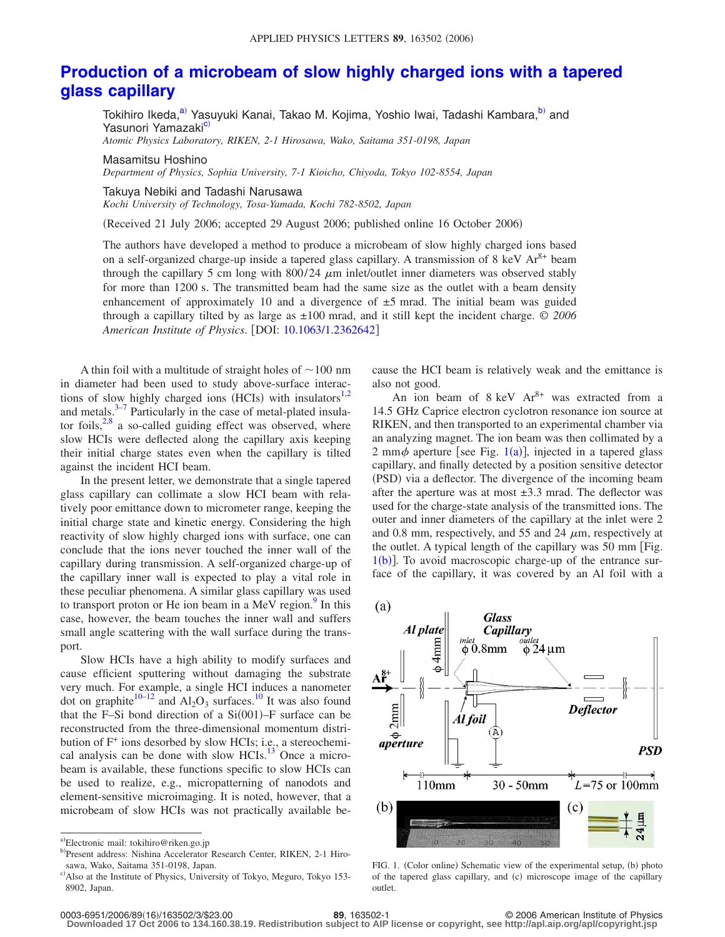## **[Production of a microbeam of slow highly charged ions with a tapered](http://dx.doi.org/10.1063/1.2362642) [glass capillary](http://dx.doi.org/10.1063/1.2362642)**

Tokihiro Ikeda,<sup>a)</sup> Yasuyuki Kanai, Takao M. Kojima, Yoshio Iwai, Tadashi Kambara,<sup>b)</sup> and Yasunori Yamazaki<sup>c)</sup>

*Atomic Physics Laboratory, RIKEN, 2-1 Hirosawa, Wako, Saitama 351-0198, Japan*

Masamitsu Hoshino *Department of Physics, Sophia University, 7-1 Kioicho, Chiyoda, Tokyo 102-8554, Japan*

Takuya Nebiki and Tadashi Narusawa *Kochi University of Technology, Tosa-Yamada, Kochi 782-8502, Japan*

(Received 21 July 2006; accepted 29 August 2006; published online 16 October 2006)

The authors have developed a method to produce a microbeam of slow highly charged ions based on a self-organized charge-up inside a tapered glass capillary. A transmission of 8 keV  $Ar^{8+}$  beam through the capillary 5 cm long with  $800/24 \mu m$  inlet/outlet inner diameters was observed stably for more than 1200 s. The transmitted beam had the same size as the outlet with a beam density enhancement of approximately 10 and a divergence of  $\pm 5$  mrad. The initial beam was guided through a capillary tilted by as large as ±100 mrad, and it still kept the incident charge. © *2006 American Institute of Physics*. DOI: [10.1063/1.2362642](http://dx.doi.org/10.1063/1.2362642)

A thin foil with a multitude of straight holes of  $\sim$  100 nm in diameter had been used to study above-surface interactions of slow highly charged ions (HCIs) with insulators $1,2$  $1,2$ and metals. $3-7$  Particularly in the case of metal-plated insulator foils, $2,8$  $2,8$  a so-called guiding effect was observed, where slow HCIs were deflected along the capillary axis keeping their initial charge states even when the capillary is tilted against the incident HCI beam.

In the present letter, we demonstrate that a single tapered glass capillary can collimate a slow HCI beam with relatively poor emittance down to micrometer range, keeping the initial charge state and kinetic energy. Considering the high reactivity of slow highly charged ions with surface, one can conclude that the ions never touched the inner wall of the capillary during transmission. A self-organized charge-up of the capillary inner wall is expected to play a vital role in these peculiar phenomena. A similar glass capillary was used to transport proton or He ion beam in a MeV region.<sup>9</sup> In this case, however, the beam touches the inner wall and suffers small angle scattering with the wall surface during the transport.

Slow HCIs have a high ability to modify surfaces and cause efficient sputtering without damaging the substrate very much. For example, a single HCI induces a nanometer dot on graphite<sup>10–[12](#page-2-7)</sup> and  $Al_2O_3$  surfaces.<sup>10</sup> It was also found that the F-Si bond direction of a  $Si(001)$ -F surface can be reconstructed from the three-dimensional momentum distribution of F<sup>+</sup> ions desorbed by slow HCIs; i.e., a stereochemical analysis can be done with slow HCIs. $^{13}$  Once a microbeam is available, these functions specific to slow HCIs can be used to realize, e.g., micropatterning of nanodots and element-sensitive microimaging. It is noted, however, that a microbeam of slow HCIs was not practically available because the HCI beam is relatively weak and the emittance is also not good.

An ion beam of  $8 \text{ keV}$   $\text{Ar}^{8+}$  was extracted from a 14.5 GHz Caprice electron cyclotron resonance ion source at RIKEN, and then transported to an experimental chamber via an analyzing magnet. The ion beam was then collimated by a 2 mm $\phi$  aperture [see Fig. [1](#page-0-3)(a)], injected in a tapered glass capillary, and finally detected by a position sensitive detector (PSD) via a deflector. The divergence of the incoming beam after the aperture was at most  $\pm 3.3$  mrad. The deflector was used for the charge-state analysis of the transmitted ions. The outer and inner diameters of the capillary at the inlet were 2 and 0.8 mm, respectively, and 55 and 24  $\mu$ m, respectively at the outlet. A typical length of the capillary was 50 mm Fig.  $1(b)$  $1(b)$ ]. To avoid macroscopic charge-up of the entrance surface of the capillary, it was covered by an Al foil with a

<span id="page-0-3"></span>

FIG. 1. (Color online) Schematic view of the experimental setup, (b) photo of the tapered glass capillary, and (c) microscope image of the capillary outlet.

**Downloaded 17 Oct 2006 to 134.160.38.19. Redistribution subject to AIP license or copyright, see http://apl.aip.org/apl/copyright.jsp**

<span id="page-0-2"></span><span id="page-0-1"></span><span id="page-0-0"></span>a)Electronic mail: tokihiro@riken.go.jp

b)Present address: Nishina Accelerator Research Center, RIKEN, 2-1 Hirosawa, Wako, Saitama 351-0198, Japan.

c) Also at the Institute of Physics, University of Tokyo, Meguro, Tokyo 153-8902, Japan.

<sup>16</sup>/163502/3/\$23.00 © 2006 American Institute of Physics **89**, 163502-1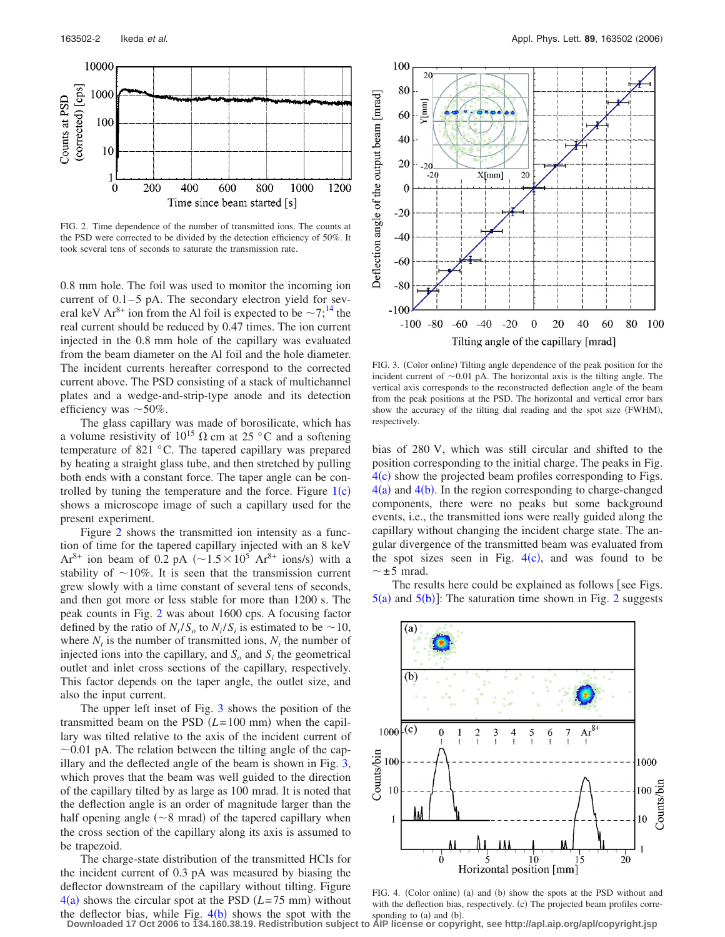<span id="page-1-0"></span>

FIG. 2. Time dependence of the number of transmitted ions. The counts at the PSD were corrected to be divided by the detection efficiency of 50%. It took several tens of seconds to saturate the transmission rate.

0.8 mm hole. The foil was used to monitor the incoming ion current of 0.1–5 pA. The secondary electron yield for several keV Ar<sup>8+</sup> ion from the Al foil is expected to be  $\sim$ 7;<sup>14</sup> the real current should be reduced by 0.47 times. The ion current injected in the 0.8 mm hole of the capillary was evaluated from the beam diameter on the Al foil and the hole diameter. The incident currents hereafter correspond to the corrected current above. The PSD consisting of a stack of multichannel plates and a wedge-and-strip-type anode and its detection efficiency was  $\sim$  50%.

The glass capillary was made of borosilicate, which has a volume resistivity of  $10^{15}$   $\Omega$  cm at 25 °C and a softening temperature of 821 °C. The tapered capillary was prepared by heating a straight glass tube, and then stretched by pulling both ends with a constant force. The taper angle can be controlled by tuning the temperature and the force. Figure  $1(c)$  $1(c)$ shows a microscope image of such a capillary used for the present experiment.

Figure [2](#page-1-0) shows the transmitted ion intensity as a function of time for the tapered capillary injected with an 8 keV  $Ar^{8+}$  ion beam of 0.2 pA ( $\sim$ 1.5 $\times$ 10<sup>5</sup> Ar<sup>8+</sup> ions/s) with a stability of  $\sim$ 10%. It is seen that the transmission current grew slowly with a time constant of several tens of seconds, and then got more or less stable for more than 1200 s. The peak counts in Fig. [2](#page-1-0) was about 1600 cps. A focusing factor defined by the ratio of  $N_t/S_o$  to  $N_i/S_i$  is estimated to be  $\sim 10$ , where  $N_t$  is the number of transmitted ions,  $N_i$  the number of injected ions into the capillary, and  $S<sub>o</sub>$  and  $S<sub>i</sub>$  the geometrical outlet and inlet cross sections of the capillary, respectively. This factor depends on the taper angle, the outlet size, and also the input current.

The upper left inset of Fig. [3](#page-1-1) shows the position of the transmitted beam on the PSD  $(L=100 \text{ mm})$  when the capillary was tilted relative to the axis of the incident current of  $\sim$ 0.01 pA. The relation between the tilting angle of the capillary and the deflected angle of the beam is shown in Fig. [3,](#page-1-1) which proves that the beam was well guided to the direction of the capillary tilted by as large as 100 mrad. It is noted that the deflection angle is an order of magnitude larger than the half opening angle  $(\sim 8 \text{ mrad})$  of the tapered capillary when the cross section of the capillary along its axis is assumed to be trapezoid.

The charge-state distribution of the transmitted HCIs for the incident current of 0.3 pA was measured by biasing the deflector downstream of the capillary without tilting. Figure  $4(a)$  $4(a)$  shows the circular spot at the PSD  $(L=75 \text{ mm})$  without the deflector bias, while Fig.  $4(b)$  $4(b)$  shows the spot with the

<span id="page-1-1"></span>

FIG. 3. (Color online) Tilting angle dependence of the peak position for the incident current of  $\sim 0.01$  pA. The horizontal axis is the tilting angle. The vertical axis corresponds to the reconstructed deflection angle of the beam from the peak positions at the PSD. The horizontal and vertical error bars show the accuracy of the tilting dial reading and the spot size (FWHM), respectively.

bias of 280 V, which was still circular and shifted to the position corresponding to the initial charge. The peaks in Fig.  $4(c)$  $4(c)$  show the projected beam profiles corresponding to Figs.  $4(a)$  $4(a)$  and  $4(b)$ . In the region corresponding to charge-changed components, there were no peaks but some background events, i.e., the transmitted ions were really guided along the capillary without changing the incident charge state. The angular divergence of the transmitted beam was evaluated from the spot sizes seen in Fig.  $4(c)$  $4(c)$ , and was found to be  $\sim \pm 5$  mrad.

<span id="page-1-2"></span>The results here could be explained as follows [see Figs.  $5(a)$  $5(a)$  and  $5(b)$ ]: The saturation time shown in Fig. [2](#page-1-0) suggests



FIG. 4. (Color online) (a) and (b) show the spots at the PSD without and with the deflection bias, respectively. (c) The projected beam profiles corresponding to (a) and (b).

**Downloaded 17 Oct 2006 to 134.160.38.19. Redistribution subject to AIP license or copyright, see http://apl.aip.org/apl/copyright.jsp**